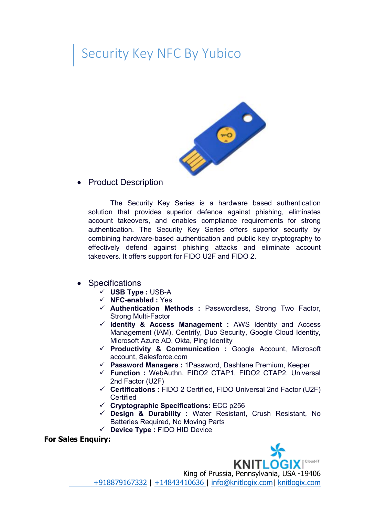## Security Key NFC By Yubico



• Product Description

The Security Key Series is a hardware based authentication solution that provides superior defence against phishing, eliminates account takeovers, and enables compliance requirements for strong authentication. The Security Key Series offers superior security by combining hardware-based authentication and public key cryptography to effectively defend against phishing attacks and eliminate account takeovers. It offers support for FIDO U2F and FIDO 2.

- Specifications
	- **USB Type :** USB-A
	- **NFC-enabled :** Yes
	- **Authentication Methods :** Passwordless, Strong Two Factor, Strong Multi-Factor
	- **Identity & Access Management :** AWS Identity and Access Management (IAM), Centrify, Duo Security, Google Cloud Identity, Microsoft Azure AD, Okta, Ping Identity
	- **Productivity & Communication :** Google Account, Microsoft account, Salesforce.com
	- **Password Managers :** 1Password, Dashlane Premium, Keeper
	- **Function :** WebAuthn, FIDO2 CTAP1, FIDO2 CTAP2, Universal 2nd Factor (U2F)
	- **Certifications :** FIDO 2 Certified, FIDO Universal 2nd Factor (U2F) **Certified**
	- **Cryptographic Specifications:** ECC p256
	- **Design & Durability :** Water Resistant, Crush Resistant, No Batteries Required, No Moving Parts
	- **Device Type :** FIDO HID Device

**For Sales Enquiry:**



[+918879167332](tel:/+918879167332) | [+14843410636](tel:/+14843410636 ) | [info@knitlogix.com](mailto:/info@knitlogix.com)| [knitlogix.com](https://knitlogix.com/)